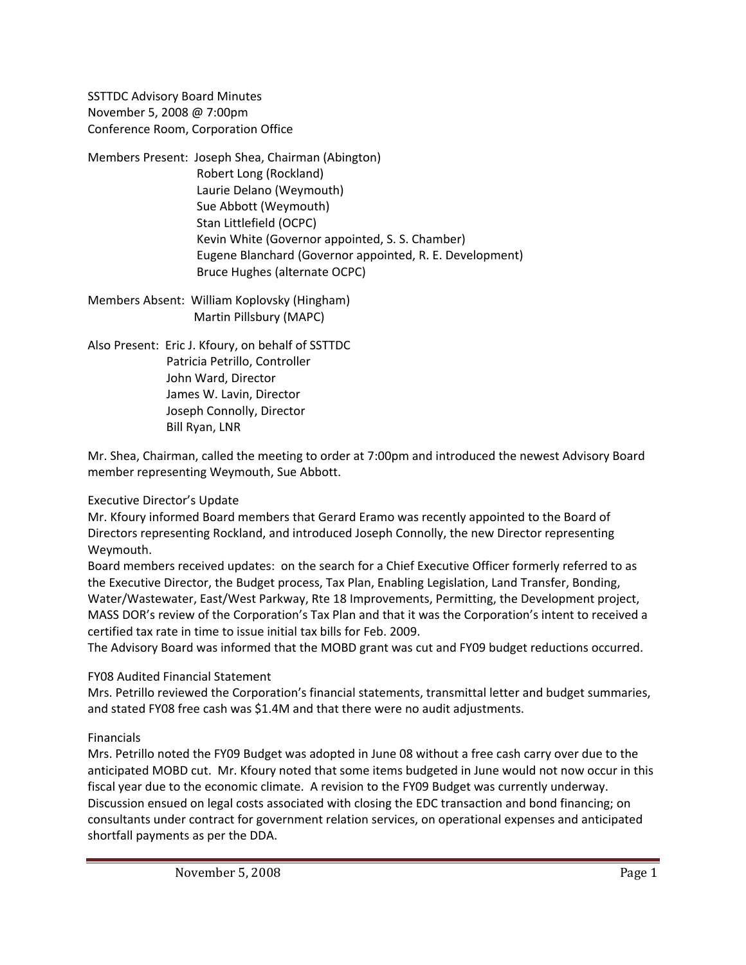SSTTDC Advisory Board Minutes November 5, 2008 @ 7:00pm Conference Room, Corporation Office

- Members Present: Joseph Shea, Chairman (Abington) Robert Long (Rockland) Laurie Delano (Weymouth) Sue Abbott (Weymouth) Stan Littlefield (OCPC) Kevin White (Governor appointed, S. S. Chamber) Eugene Blanchard (Governor appointed, R. E. Development) Bruce Hughes (alternate OCPC)
- Members Absent: William Koplovsky (Hingham) Martin Pillsbury (MAPC)
- Also Present: Eric J. Kfoury, on behalf of SSTTDC Patricia Petrillo, Controller John Ward, Director James W. Lavin, Director Joseph Connolly, Director Bill Ryan, LNR

Mr. Shea, Chairman, called the meeting to order at 7:00pm and introduced the newest Advisory Board member representing Weymouth, Sue Abbott.

# Executive Director's Update

Mr. Kfoury informed Board members that Gerard Eramo was recently appointed to the Board of Directors representing Rockland, and introduced Joseph Connolly, the new Director representing Weymouth.

Board members received updates: on the search for a Chief Executive Officer formerly referred to as the Executive Director, the Budget process, Tax Plan, Enabling Legislation, Land Transfer, Bonding, Water/Wastewater, East/West Parkway, Rte 18 Improvements, Permitting, the Development project, MASS DOR's review of the Corporation's Tax Plan and that it was the Corporation's intent to received a certified tax rate in time to issue initial tax bills for Feb. 2009.

The Advisory Board was informed that the MOBD grant was cut and FY09 budget reductions occurred.

#### FY08 Audited Financial Statement

Mrs. Petrillo reviewed the Corporation's financial statements, transmittal letter and budget summaries, and stated FY08 free cash was \$1.4M and that there were no audit adjustments.

# Financials

Mrs. Petrillo noted the FY09 Budget was adopted in June 08 without a free cash carry over due to the anticipated MOBD cut. Mr. Kfoury noted that some items budgeted in June would not now occur in this fiscal year due to the economic climate. A revision to the FY09 Budget was currently underway. Discussion ensued on legal costs associated with closing the EDC transaction and bond financing; on consultants under contract for government relation services, on operational expenses and anticipated shortfall payments as per the DDA.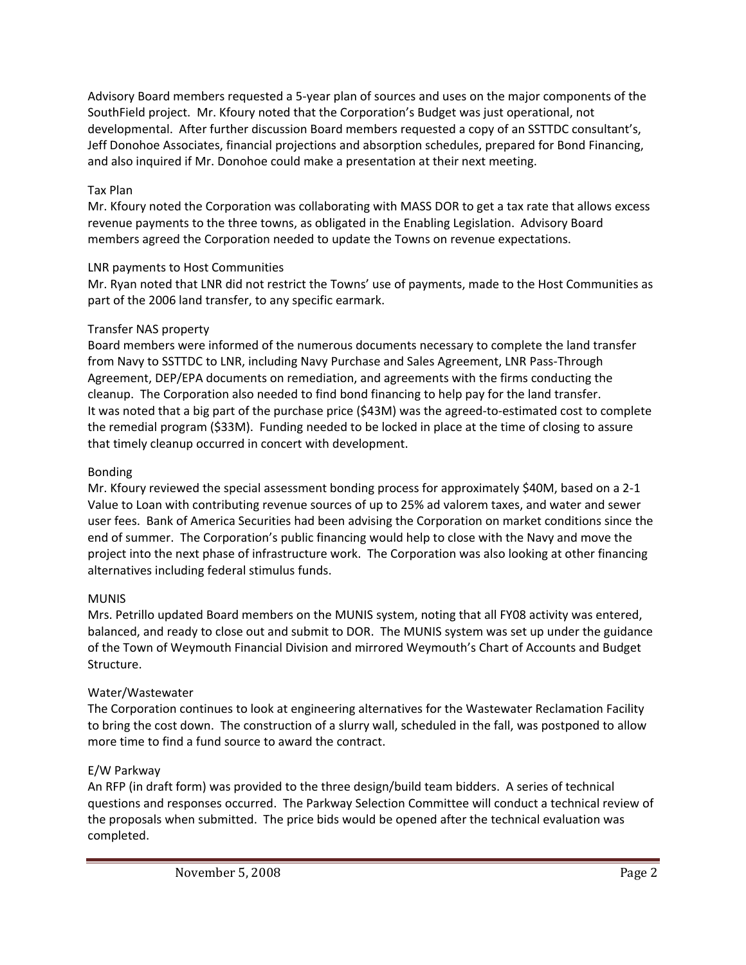Advisory Board members requested a 5‐year plan of sources and uses on the major components of the SouthField project. Mr. Kfoury noted that the Corporation's Budget was just operational, not developmental. After further discussion Board members requested a copy of an SSTTDC consultant's, Jeff Donohoe Associates, financial projections and absorption schedules, prepared for Bond Financing, and also inquired if Mr. Donohoe could make a presentation at their next meeting.

## Tax Plan

Mr. Kfoury noted the Corporation was collaborating with MASS DOR to get a tax rate that allows excess revenue payments to the three towns, as obligated in the Enabling Legislation. Advisory Board members agreed the Corporation needed to update the Towns on revenue expectations.

## LNR payments to Host Communities

Mr. Ryan noted that LNR did not restrict the Towns' use of payments, made to the Host Communities as part of the 2006 land transfer, to any specific earmark.

## Transfer NAS property

Board members were informed of the numerous documents necessary to complete the land transfer from Navy to SSTTDC to LNR, including Navy Purchase and Sales Agreement, LNR Pass-Through Agreement, DEP/EPA documents on remediation, and agreements with the firms conducting the cleanup. The Corporation also needed to find bond financing to help pay for the land transfer. It was noted that a big part of the purchase price (\$43M) was the agreed‐to‐estimated cost to complete the remedial program (\$33M). Funding needed to be locked in place at the time of closing to assure that timely cleanup occurred in concert with development.

## Bonding

Mr. Kfoury reviewed the special assessment bonding process for approximately \$40M, based on a 2‐1 Value to Loan with contributing revenue sources of up to 25% ad valorem taxes, and water and sewer user fees. Bank of America Securities had been advising the Corporation on market conditions since the end of summer. The Corporation's public financing would help to close with the Navy and move the project into the next phase of infrastructure work. The Corporation was also looking at other financing alternatives including federal stimulus funds.

#### MUNIS

Mrs. Petrillo updated Board members on the MUNIS system, noting that all FY08 activity was entered, balanced, and ready to close out and submit to DOR. The MUNIS system was set up under the guidance of the Town of Weymouth Financial Division and mirrored Weymouth's Chart of Accounts and Budget Structure.

# Water/Wastewater

The Corporation continues to look at engineering alternatives for the Wastewater Reclamation Facility to bring the cost down. The construction of a slurry wall, scheduled in the fall, was postponed to allow more time to find a fund source to award the contract.

# E/W Parkway

An RFP (in draft form) was provided to the three design/build team bidders. A series of technical questions and responses occurred. The Parkway Selection Committee will conduct a technical review of the proposals when submitted. The price bids would be opened after the technical evaluation was completed.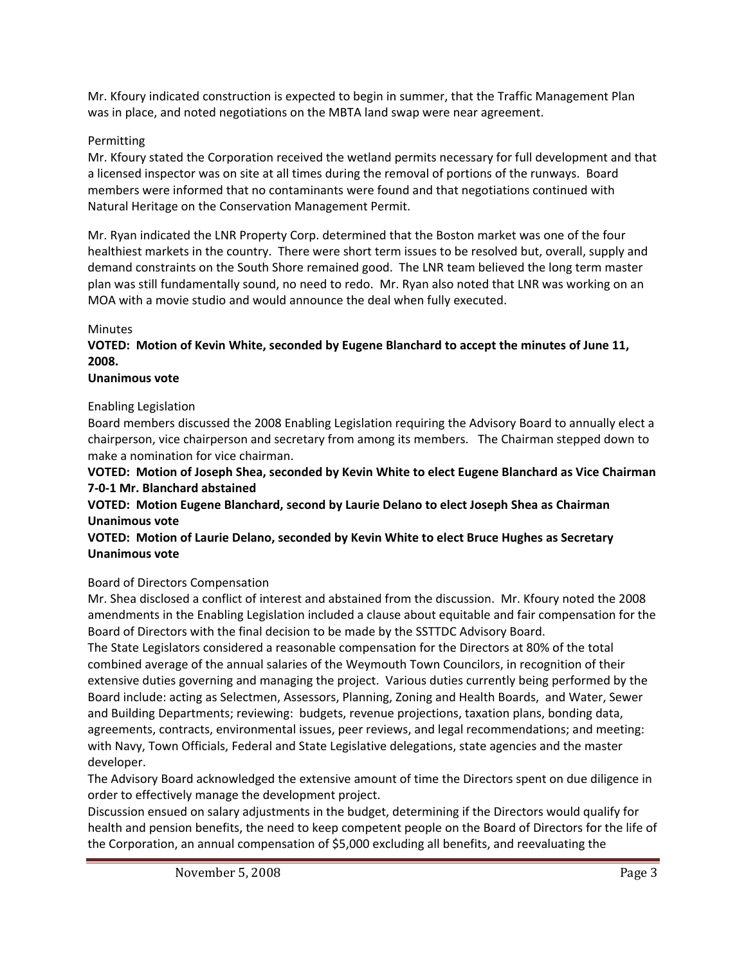Mr. Kfoury indicated construction is expected to begin in summer, that the Traffic Management Plan was in place, and noted negotiations on the MBTA land swap were near agreement.

## Permitting

Mr. Kfoury stated the Corporation received the wetland permits necessary for full development and that a licensed inspector was on site at all times during the removal of portions of the runways. Board members were informed that no contaminants were found and that negotiations continued with Natural Heritage on the Conservation Management Permit.

Mr. Ryan indicated the LNR Property Corp. determined that the Boston market was one of the four healthiest markets in the country. There were short term issues to be resolved but, overall, supply and demand constraints on the South Shore remained good. The LNR team believed the long term master plan was still fundamentally sound, no need to redo. Mr. Ryan also noted that LNR was working on an MOA with a movie studio and would announce the deal when fully executed.

## Minutes

**VOTED: Motion of Kevin White, seconded by Eugene Blanchard to accept the minutes of June 11, 2008.**

#### **Unanimous vote**

## Enabling Legislation

Board members discussed the 2008 Enabling Legislation requiring the Advisory Board to annually elect a chairperson, vice chairperson and secretary from among its members. The Chairman stepped down to make a nomination for vice chairman.

**VOTED: Motion of Joseph Shea, seconded by Kevin White to elect Eugene Blanchard as Vice Chairman 7‐0‐1 Mr. Blanchard abstained**

**VOTED: Motion Eugene Blanchard, second by Laurie Delano to elect Joseph Shea as Chairman Unanimous vote**

## **VOTED: Motion of Laurie Delano, seconded by Kevin White to elect Bruce Hughes as Secretary Unanimous vote**

# Board of Directors Compensation

Mr. Shea disclosed a conflict of interest and abstained from the discussion. Mr. Kfoury noted the 2008 amendments in the Enabling Legislation included a clause about equitable and fair compensation for the Board of Directors with the final decision to be made by the SSTTDC Advisory Board.

The State Legislators considered a reasonable compensation for the Directors at 80% of the total combined average of the annual salaries of the Weymouth Town Councilors, in recognition of their extensive duties governing and managing the project. Various duties currently being performed by the Board include: acting as Selectmen, Assessors, Planning, Zoning and Health Boards, and Water, Sewer and Building Departments; reviewing: budgets, revenue projections, taxation plans, bonding data, agreements, contracts, environmental issues, peer reviews, and legal recommendations; and meeting: with Navy, Town Officials, Federal and State Legislative delegations, state agencies and the master developer.

The Advisory Board acknowledged the extensive amount of time the Directors spent on due diligence in order to effectively manage the development project.

Discussion ensued on salary adjustments in the budget, determining if the Directors would qualify for health and pension benefits, the need to keep competent people on the Board of Directors for the life of the Corporation, an annual compensation of \$5,000 excluding all benefits, and reevaluating the